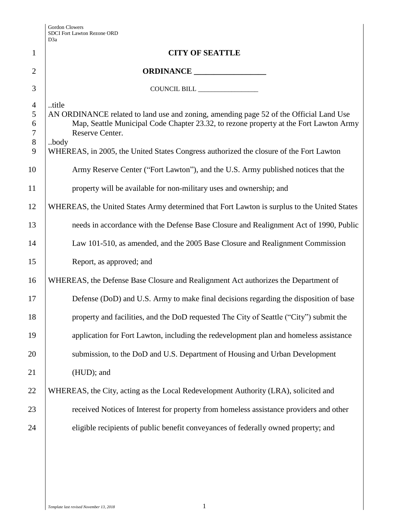|                     | D3a                                                                                                      |
|---------------------|----------------------------------------------------------------------------------------------------------|
| $\mathbf{1}$        | <b>CITY OF SEATTLE</b>                                                                                   |
| $\overline{2}$      |                                                                                                          |
| 3                   | COUNCIL BILL ________________                                                                            |
| $\overline{4}$<br>5 | title<br>AN ORDINANCE related to land use and zoning, amending page 52 of the Official Land Use          |
| 6<br>7              | Map, Seattle Municipal Code Chapter 23.32, to rezone property at the Fort Lawton Army<br>Reserve Center. |
| $8\,$<br>9          | body<br>WHEREAS, in 2005, the United States Congress authorized the closure of the Fort Lawton           |
| 10                  | Army Reserve Center ("Fort Lawton"), and the U.S. Army published notices that the                        |
| 11                  | property will be available for non-military uses and ownership; and                                      |
| 12                  | WHEREAS, the United States Army determined that Fort Lawton is surplus to the United States              |
| 13                  | needs in accordance with the Defense Base Closure and Realignment Act of 1990, Public                    |
| 14                  | Law 101-510, as amended, and the 2005 Base Closure and Realignment Commission                            |
| 15                  | Report, as approved; and                                                                                 |
| 16                  | WHEREAS, the Defense Base Closure and Realignment Act authorizes the Department of                       |
| 17                  | Defense (DoD) and U.S. Army to make final decisions regarding the disposition of base                    |
| 18                  | property and facilities, and the DoD requested The City of Seattle ("City") submit the                   |
| 19                  | application for Fort Lawton, including the redevelopment plan and homeless assistance                    |
| 20                  | submission, to the DoD and U.S. Department of Housing and Urban Development                              |
| 21                  | (HUD); and                                                                                               |
| 22                  | WHEREAS, the City, acting as the Local Redevelopment Authority (LRA), solicited and                      |
| 23                  | received Notices of Interest for property from homeless assistance providers and other                   |
| 24                  | eligible recipients of public benefit conveyances of federally owned property; and                       |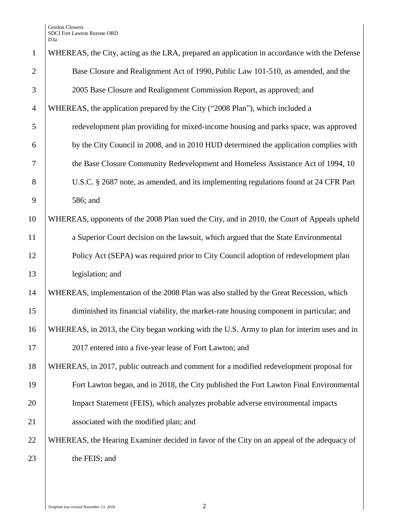Gordon Clowers SDCI Fort Lawton Rezone ORD D3a

| $\mathbf{1}$   | WHEREAS, the City, acting as the LRA, prepared an application in accordance with the Defense |
|----------------|----------------------------------------------------------------------------------------------|
| $\overline{2}$ | Base Closure and Realignment Act of 1990, Public Law 101-510, as amended, and the            |
| 3              | 2005 Base Closure and Realignment Commission Report, as approved; and                        |
| $\overline{4}$ | WHEREAS, the application prepared by the City ("2008 Plan"), which included a                |
| 5              | redevelopment plan providing for mixed-income housing and parks space, was approved          |
| 6              | by the City Council in 2008, and in 2010 HUD determined the application complies with        |
| 7              | the Base Closure Community Redevelopment and Homeless Assistance Act of 1994, 10             |
| 8              | U.S.C. § 2687 note, as amended, and its implementing regulations found at 24 CFR Part        |
| 9              | 586; and                                                                                     |
| 10             | WHEREAS, opponents of the 2008 Plan sued the City, and in 2010, the Court of Appeals upheld  |
| 11             | a Superior Court decision on the lawsuit, which argued that the State Environmental          |
| 12             | Policy Act (SEPA) was required prior to City Council adoption of redevelopment plan          |
| 13             | legislation; and                                                                             |
| 14             | WHEREAS, implementation of the 2008 Plan was also stalled by the Great Recession, which      |
| 15             | diminished its financial viability, the market-rate housing component in particular; and     |
| 16             | WHEREAS, in 2013, the City began working with the U.S. Army to plan for interim uses and in  |
| 17             | 2017 entered into a five-year lease of Fort Lawton; and                                      |
| 18             | WHEREAS, in 2017, public outreach and comment for a modified redevelopment proposal for      |
| 19             | Fort Lawton began, and in 2018, the City published the Fort Lawton Final Environmental       |
| 20             | Impact Statement (FEIS), which analyzes probable adverse environmental impacts               |
| 21             | associated with the modified plan; and                                                       |
| 22             | WHEREAS, the Hearing Examiner decided in favor of the City on an appeal of the adequacy of   |
| 23             | the FEIS; and                                                                                |
|                |                                                                                              |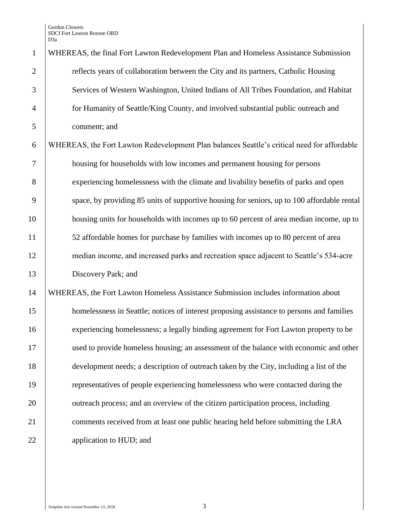| $\mathbf{1}$   | WHEREAS, the final Fort Lawton Redevelopment Plan and Homeless Assistance Submission        |
|----------------|---------------------------------------------------------------------------------------------|
| $\overline{2}$ | reflects years of collaboration between the City and its partners, Catholic Housing         |
| 3              | Services of Western Washington, United Indians of All Tribes Foundation, and Habitat        |
| $\overline{4}$ | for Humanity of Seattle/King County, and involved substantial public outreach and           |
| 5              | comment; and                                                                                |
| 6              | WHEREAS, the Fort Lawton Redevelopment Plan balances Seattle's critical need for affordable |
| 7              | housing for households with low incomes and permanent housing for persons                   |
| 8              | experiencing homelessness with the climate and livability benefits of parks and open        |
| 9              | space, by providing 85 units of supportive housing for seniors, up to 100 affordable rental |
| 10             | housing units for households with incomes up to 60 percent of area median income, up to     |
| 11             | 52 affordable homes for purchase by families with incomes up to 80 percent of area          |
| 12             | median income, and increased parks and recreation space adjacent to Seattle's 534-acre      |
| 13             | Discovery Park; and                                                                         |
| 14             | WHEREAS, the Fort Lawton Homeless Assistance Submission includes information about          |
| 15             | homelessness in Seattle; notices of interest proposing assistance to persons and families   |
| 16             | experiencing homelessness; a legally binding agreement for Fort Lawton property to be       |
| 17             | used to provide homeless housing; an assessment of the balance with economic and other      |
| 18             | development needs; a description of outreach taken by the City, including a list of the     |
| 19             | representatives of people experiencing homelessness who were contacted during the           |
| 20             | outreach process; and an overview of the citizen participation process, including           |
| 21             | comments received from at least one public hearing held before submitting the LRA           |
| 22             | application to HUD; and                                                                     |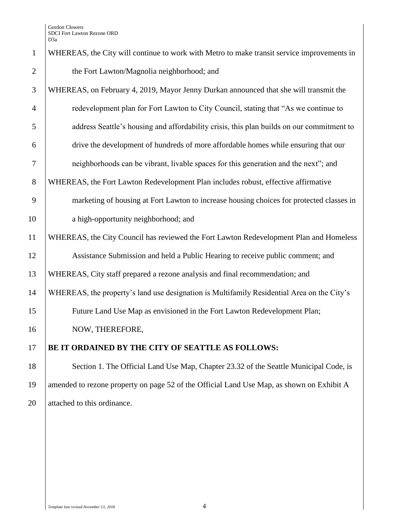## 1 WHEREAS, the City will continue to work with Metro to make transit service improvements in 2 the Fort Lawton/Magnolia neighborhood; and

 WHEREAS, on February 4, 2019, Mayor Jenny Durkan announced that she will transmit the redevelopment plan for Fort Lawton to City Council, stating that "As we continue to address Seattle's housing and affordability crisis, this plan builds on our commitment to drive the development of hundreds of more affordable homes while ensuring that our neighborhoods can be vibrant, livable spaces for this generation and the next"; and WHEREAS, the Fort Lawton Redevelopment Plan includes robust, effective affirmative marketing of housing at Fort Lawton to increase housing choices for protected classes in 10 a high-opportunity neighborhood; and WHEREAS, the City Council has reviewed the Fort Lawton Redevelopment Plan and Homeless Assistance Submission and held a Public Hearing to receive public comment; and WHEREAS, City staff prepared a rezone analysis and final recommendation; and

14 WHEREAS, the property's land use designation is Multifamily Residential Area on the City's

15 Future Land Use Map as envisioned in the Fort Lawton Redevelopment Plan;

16 NOW, THEREFORE,

17 **BE IT ORDAINED BY THE CITY OF SEATTLE AS FOLLOWS:**

18 Section 1. The Official Land Use Map, Chapter 23.32 of the Seattle Municipal Code, is 19 amended to rezone property on page 52 of the Official Land Use Map, as shown on Exhibit A 20 attached to this ordinance.